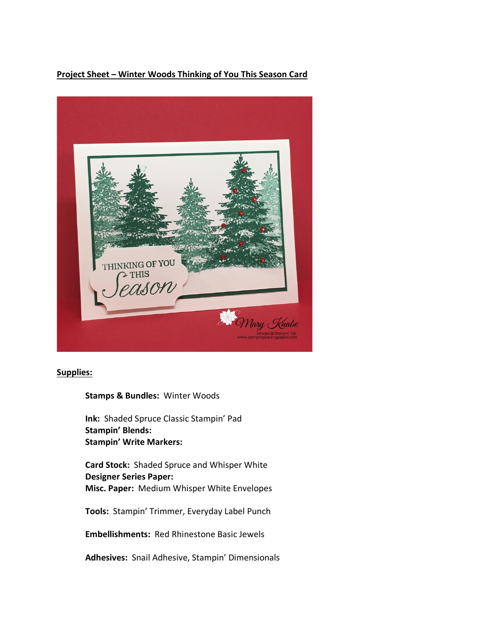## **Project Sheet – Winter Woods Thinking of You This Season Card**



## **Supplies:**

## **Stamps & Bundles:** Winter Woods

**Ink:** Shaded Spruce Classic Stampin' Pad **Stampin' Blends: Stampin' Write Markers:** 

**Card Stock:** Shaded Spruce and Whisper White **Designer Series Paper: Misc. Paper:** Medium Whisper White Envelopes

**Tools:** Stampin' Trimmer, Everyday Label Punch

**Embellishments:** Red Rhinestone Basic Jewels

**Adhesives:** Snail Adhesive, Stampin' Dimensionals